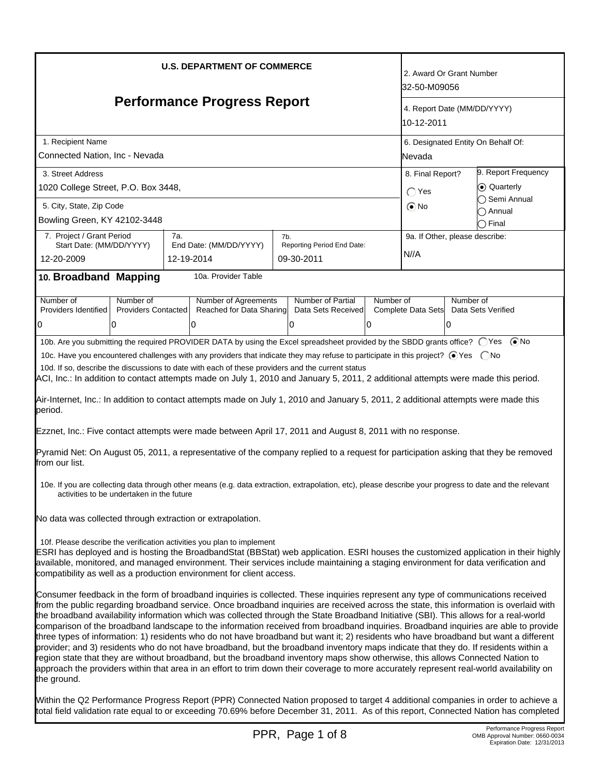| <b>U.S. DEPARTMENT OF COMMERCE</b>                                                                                                                                                                                                                                                                                                                                                                                                                                                                                                                                                                                                                                                                                                                                                                                                                                                                                                                                                                                                                                                                                                     |                                                                                                                                                                                                     |     |                                                        |  |                                                                                                                                     |                                                 | 2. Award Or Grant Number<br>32-50-M09056            |                                                     |                     |
|----------------------------------------------------------------------------------------------------------------------------------------------------------------------------------------------------------------------------------------------------------------------------------------------------------------------------------------------------------------------------------------------------------------------------------------------------------------------------------------------------------------------------------------------------------------------------------------------------------------------------------------------------------------------------------------------------------------------------------------------------------------------------------------------------------------------------------------------------------------------------------------------------------------------------------------------------------------------------------------------------------------------------------------------------------------------------------------------------------------------------------------|-----------------------------------------------------------------------------------------------------------------------------------------------------------------------------------------------------|-----|--------------------------------------------------------|--|-------------------------------------------------------------------------------------------------------------------------------------|-------------------------------------------------|-----------------------------------------------------|-----------------------------------------------------|---------------------|
| <b>Performance Progress Report</b>                                                                                                                                                                                                                                                                                                                                                                                                                                                                                                                                                                                                                                                                                                                                                                                                                                                                                                                                                                                                                                                                                                     |                                                                                                                                                                                                     |     |                                                        |  |                                                                                                                                     | 4. Report Date (MM/DD/YYYY)<br>10-12-2011       |                                                     |                                                     |                     |
| 1. Recipient Name<br>Connected Nation, Inc - Nevada                                                                                                                                                                                                                                                                                                                                                                                                                                                                                                                                                                                                                                                                                                                                                                                                                                                                                                                                                                                                                                                                                    |                                                                                                                                                                                                     |     |                                                        |  |                                                                                                                                     |                                                 | 6. Designated Entity On Behalf Of:<br><b>Nevada</b> |                                                     |                     |
| 3. Street Address<br>1020 College Street, P.O. Box 3448,<br>5. City, State, Zip Code                                                                                                                                                                                                                                                                                                                                                                                                                                                                                                                                                                                                                                                                                                                                                                                                                                                                                                                                                                                                                                                   |                                                                                                                                                                                                     |     |                                                        |  |                                                                                                                                     | 8. Final Report?<br>$\bigcap$ Yes<br>$\odot$ No |                                                     | 9. Report Frequency<br>⊙ Quarterly<br>◯ Semi Annual |                     |
| Bowling Green, KY 42102-3448                                                                                                                                                                                                                                                                                                                                                                                                                                                                                                                                                                                                                                                                                                                                                                                                                                                                                                                                                                                                                                                                                                           |                                                                                                                                                                                                     |     |                                                        |  |                                                                                                                                     |                                                 |                                                     |                                                     | ) Annual<br>) Final |
| 7. Project / Grant Period<br>Start Date: (MM/DD/YYYY)<br>12-20-2009                                                                                                                                                                                                                                                                                                                                                                                                                                                                                                                                                                                                                                                                                                                                                                                                                                                                                                                                                                                                                                                                    |                                                                                                                                                                                                     | 7a. | End Date: (MM/DD/YYYY)<br>12-19-2014                   |  | 7b.<br>Reporting Period End Date:<br>09-30-2011                                                                                     |                                                 | 9a. If Other, please describe:<br>N//A              |                                                     |                     |
| 10. Broadband Mapping                                                                                                                                                                                                                                                                                                                                                                                                                                                                                                                                                                                                                                                                                                                                                                                                                                                                                                                                                                                                                                                                                                                  |                                                                                                                                                                                                     |     | 10a. Provider Table                                    |  |                                                                                                                                     |                                                 |                                                     |                                                     |                     |
| Number of<br>Providers Identified<br>0                                                                                                                                                                                                                                                                                                                                                                                                                                                                                                                                                                                                                                                                                                                                                                                                                                                                                                                                                                                                                                                                                                 | Number of<br><b>Providers Contacted</b><br>0                                                                                                                                                        |     | Number of Agreements<br>Reached for Data Sharing<br>10 |  | Number of Partial<br>Data Sets Received<br>l0                                                                                       | Number of<br>0                                  | Complete Data Sets                                  | Number of<br>10                                     | Data Sets Verified  |
| 10b. Are you submitting the required PROVIDER DATA by using the Excel spreadsheet provided by the SBDD grants office? (Ses (■No<br>10c. Have you encountered challenges with any providers that indicate they may refuse to participate in this project? ⊙Yes  ONo<br>10d. If so, describe the discussions to date with each of these providers and the current status<br>ACI, Inc.: In addition to contact attempts made on July 1, 2010 and January 5, 2011, 2 additional attempts were made this period.<br>Air-Internet, Inc.: In addition to contact attempts made on July 1, 2010 and January 5, 2011, 2 additional attempts were made this                                                                                                                                                                                                                                                                                                                                                                                                                                                                                      |                                                                                                                                                                                                     |     |                                                        |  |                                                                                                                                     |                                                 |                                                     |                                                     |                     |
| period.                                                                                                                                                                                                                                                                                                                                                                                                                                                                                                                                                                                                                                                                                                                                                                                                                                                                                                                                                                                                                                                                                                                                |                                                                                                                                                                                                     |     |                                                        |  | Ezznet, Inc.: Five contact attempts were made between April 17, 2011 and August 8, 2011 with no response.                           |                                                 |                                                     |                                                     |                     |
| from our list.                                                                                                                                                                                                                                                                                                                                                                                                                                                                                                                                                                                                                                                                                                                                                                                                                                                                                                                                                                                                                                                                                                                         |                                                                                                                                                                                                     |     |                                                        |  | Pyramid Net: On August 05, 2011, a representative of the company replied to a request for participation asking that they be removed |                                                 |                                                     |                                                     |                     |
|                                                                                                                                                                                                                                                                                                                                                                                                                                                                                                                                                                                                                                                                                                                                                                                                                                                                                                                                                                                                                                                                                                                                        | 10e. If you are collecting data through other means (e.g. data extraction, extrapolation, etc), please describe your progress to date and the relevant<br>activities to be undertaken in the future |     |                                                        |  |                                                                                                                                     |                                                 |                                                     |                                                     |                     |
| No data was collected through extraction or extrapolation.                                                                                                                                                                                                                                                                                                                                                                                                                                                                                                                                                                                                                                                                                                                                                                                                                                                                                                                                                                                                                                                                             |                                                                                                                                                                                                     |     |                                                        |  |                                                                                                                                     |                                                 |                                                     |                                                     |                     |
| 10f. Please describe the verification activities you plan to implement<br>ESRI has deployed and is hosting the BroadbandStat (BBStat) web application. ESRI houses the customized application in their highly<br>available, monitored, and managed environment. Their services include maintaining a staging environment for data verification and<br>compatibility as well as a production environment for client access.                                                                                                                                                                                                                                                                                                                                                                                                                                                                                                                                                                                                                                                                                                             |                                                                                                                                                                                                     |     |                                                        |  |                                                                                                                                     |                                                 |                                                     |                                                     |                     |
| Consumer feedback in the form of broadband inquiries is collected. These inquiries represent any type of communications received<br>from the public regarding broadband service. Once broadband inquiries are received across the state, this information is overlaid with<br>the broadband availability information which was collected through the State Broadband Initiative (SBI). This allows for a real-world<br>comparison of the broadband landscape to the information received from broadband inquiries. Broadband inquiries are able to provide<br>three types of information: 1) residents who do not have broadband but want it; 2) residents who have broadband but want a different<br>provider; and 3) residents who do not have broadband, but the broadband inventory maps indicate that they do. If residents within a<br>region state that they are without broadband, but the broadband inventory maps show otherwise, this allows Connected Nation to<br>approach the providers within that area in an effort to trim down their coverage to more accurately represent real-world availability on<br>the ground. |                                                                                                                                                                                                     |     |                                                        |  |                                                                                                                                     |                                                 |                                                     |                                                     |                     |
| Within the Q2 Performance Progress Report (PPR) Connected Nation proposed to target 4 additional companies in order to achieve a<br>total field validation rate equal to or exceeding 70.69% before December 31, 2011. As of this report, Connected Nation has completed                                                                                                                                                                                                                                                                                                                                                                                                                                                                                                                                                                                                                                                                                                                                                                                                                                                               |                                                                                                                                                                                                     |     |                                                        |  |                                                                                                                                     |                                                 |                                                     |                                                     |                     |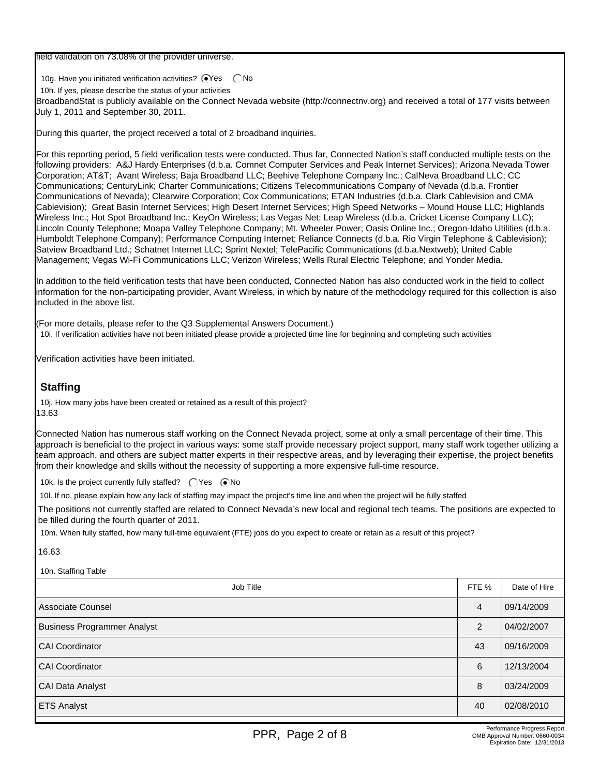field validation on 73.08% of the provider universe.

10g. Have you initiated verification activities?  $\bigcirc$ Yes  $\bigcirc$  No

10h. If yes, please describe the status of your activities

BroadbandStat is publicly available on the Connect Nevada website (http://connectnv.org) and received a total of 177 visits between July 1, 2011 and September 30, 2011.

During this quarter, the project received a total of 2 broadband inquiries.

For this reporting period, 5 field verification tests were conducted. Thus far, Connected Nation's staff conducted multiple tests on the following providers: A&J Hardy Enterprises (d.b.a. Comnet Computer Services and Peak Internet Services); Arizona Nevada Tower Corporation; AT&T; Avant Wireless; Baja Broadband LLC; Beehive Telephone Company Inc.; CalNeva Broadband LLC; CC Communications; CenturyLink; Charter Communications; Citizens Telecommunications Company of Nevada (d.b.a. Frontier Communications of Nevada); Clearwire Corporation; Cox Communications; ETAN Industries (d.b.a. Clark Cablevision and CMA Cablevision); Great Basin Internet Services; High Desert Internet Services; High Speed Networks – Mound House LLC; Highlands Wireless Inc.; Hot Spot Broadband Inc.; KeyOn Wireless; Las Vegas Net; Leap Wireless (d.b.a. Cricket License Company LLC); Lincoln County Telephone; Moapa Valley Telephone Company; Mt. Wheeler Power; Oasis Online Inc.; Oregon-Idaho Utilities (d.b.a. Humboldt Telephone Company); Performance Computing Internet; Reliance Connects (d.b.a. Rio Virgin Telephone & Cablevision); Satview Broadband Ltd.; Schatnet Internet LLC; Sprint Nextel; TelePacific Communications (d.b.a.Nextweb); United Cable Management; Vegas Wi-Fi Communications LLC; Verizon Wireless; Wells Rural Electric Telephone; and Yonder Media.

In addition to the field verification tests that have been conducted, Connected Nation has also conducted work in the field to collect information for the non-participating provider, Avant Wireless, in which by nature of the methodology required for this collection is also included in the above list.

(For more details, please refer to the Q3 Supplemental Answers Document.) 10i. If verification activities have not been initiated please provide a projected time line for beginning and completing such activities

Verification activities have been initiated.

## **Staffing**

10j. How many jobs have been created or retained as a result of this project? 13.63

Connected Nation has numerous staff working on the Connect Nevada project, some at only a small percentage of their time. This approach is beneficial to the project in various ways: some staff provide necessary project support, many staff work together utilizing a team approach, and others are subject matter experts in their respective areas, and by leveraging their expertise, the project benefits from their knowledge and skills without the necessity of supporting a more expensive full-time resource.

10k. Is the project currently fully staffed?  $\bigcirc$  Yes  $\bigcirc$  No

10l. If no, please explain how any lack of staffing may impact the project's time line and when the project will be fully staffed

The positions not currently staffed are related to Connect Nevada's new local and regional tech teams. The positions are expected to be filled during the fourth quarter of 2011.

10m. When fully staffed, how many full-time equivalent (FTE) jobs do you expect to create or retain as a result of this project?

16.63

10n. Staffing Table

| $1011.$ Under $19.100$             |       |              |
|------------------------------------|-------|--------------|
| Job Title                          | FTE % | Date of Hire |
| Associate Counsel                  | 4     | 09/14/2009   |
| <b>Business Programmer Analyst</b> | 2     | 04/02/2007   |
| <b>CAI Coordinator</b>             | 43    | 09/16/2009   |
| <b>CAI Coordinator</b>             | 6     | 12/13/2004   |
| CAI Data Analyst                   | 8     | 03/24/2009   |
| <b>ETS Analyst</b>                 | 40    | 02/08/2010   |
|                                    |       |              |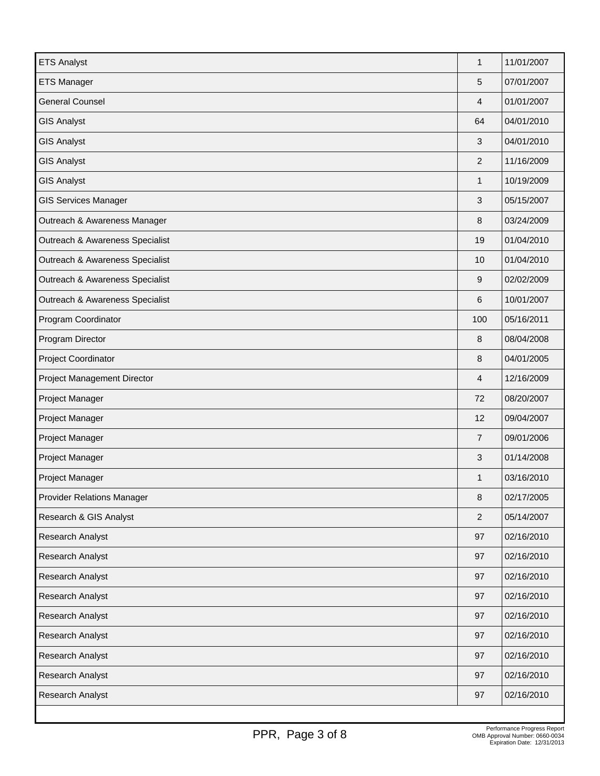| <b>ETS Analyst</b>                | $\mathbf{1}$   | 11/01/2007 |
|-----------------------------------|----------------|------------|
| <b>ETS Manager</b>                | 5              | 07/01/2007 |
| <b>General Counsel</b>            | 4              | 01/01/2007 |
| <b>GIS Analyst</b>                | 64             | 04/01/2010 |
| <b>GIS Analyst</b>                | 3              | 04/01/2010 |
| <b>GIS Analyst</b>                | $\overline{2}$ | 11/16/2009 |
| <b>GIS Analyst</b>                | $\mathbf{1}$   | 10/19/2009 |
| <b>GIS Services Manager</b>       | 3              | 05/15/2007 |
| Outreach & Awareness Manager      | 8              | 03/24/2009 |
| Outreach & Awareness Specialist   | 19             | 01/04/2010 |
| Outreach & Awareness Specialist   | 10             | 01/04/2010 |
| Outreach & Awareness Specialist   | 9              | 02/02/2009 |
| Outreach & Awareness Specialist   | 6              | 10/01/2007 |
| Program Coordinator               | 100            | 05/16/2011 |
| Program Director                  | 8              | 08/04/2008 |
| Project Coordinator               | 8              | 04/01/2005 |
| Project Management Director       | 4              | 12/16/2009 |
| Project Manager                   | 72             | 08/20/2007 |
| Project Manager                   | 12             | 09/04/2007 |
| Project Manager                   | $\overline{7}$ | 09/01/2006 |
| Project Manager                   | 3              | 01/14/2008 |
| Project Manager                   | $\mathbf{1}$   | 03/16/2010 |
| <b>Provider Relations Manager</b> | 8              | 02/17/2005 |
| Research & GIS Analyst            | 2              | 05/14/2007 |
| Research Analyst                  | 97             | 02/16/2010 |
| Research Analyst                  | 97             | 02/16/2010 |
| Research Analyst                  | 97             | 02/16/2010 |
| Research Analyst                  | 97             | 02/16/2010 |
| Research Analyst                  | 97             | 02/16/2010 |
| Research Analyst                  | 97             | 02/16/2010 |
| Research Analyst                  | 97             | 02/16/2010 |
| Research Analyst                  | 97             | 02/16/2010 |
| Research Analyst                  | 97             | 02/16/2010 |
|                                   |                |            |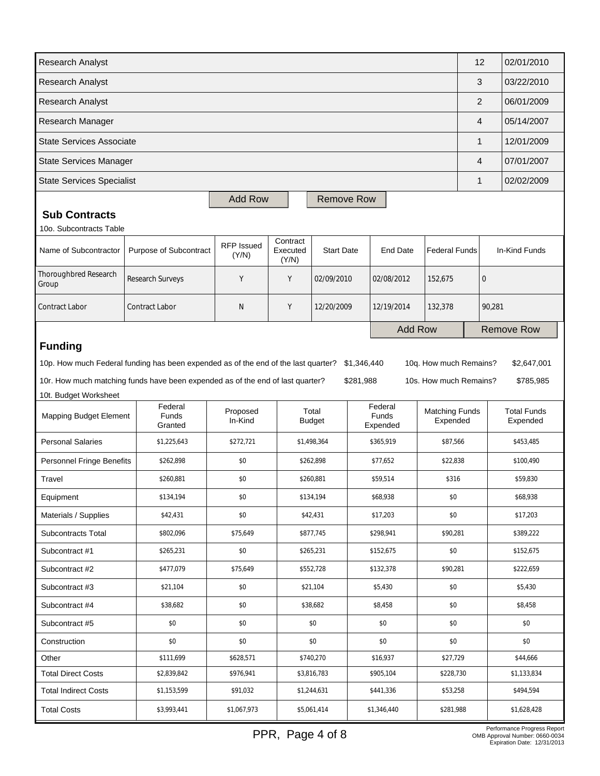| Research Analyst                 |                                                                                                                                                                      |                     |                               |                        |                          |                      |                                                  | 12       |             | 02/01/2010                     |
|----------------------------------|----------------------------------------------------------------------------------------------------------------------------------------------------------------------|---------------------|-------------------------------|------------------------|--------------------------|----------------------|--------------------------------------------------|----------|-------------|--------------------------------|
| Research Analyst                 |                                                                                                                                                                      |                     |                               |                        |                          |                      |                                                  | 3        |             | 03/22/2010                     |
| Research Analyst                 |                                                                                                                                                                      |                     |                               |                        |                          |                      |                                                  | 2        |             | 06/01/2009                     |
| Research Manager                 |                                                                                                                                                                      |                     |                               |                        |                          |                      |                                                  | 4        |             | 05/14/2007                     |
| <b>State Services Associate</b>  |                                                                                                                                                                      |                     |                               |                        |                          |                      |                                                  | 1        |             | 12/01/2009                     |
| <b>State Services Manager</b>    |                                                                                                                                                                      |                     |                               |                        |                          |                      |                                                  | 4        |             | 07/01/2007                     |
| <b>State Services Specialist</b> |                                                                                                                                                                      |                     |                               |                        |                          |                      |                                                  |          |             | 02/02/2009                     |
|                                  |                                                                                                                                                                      | <b>Add Row</b>      |                               | <b>Remove Row</b>      |                          |                      |                                                  |          |             |                                |
| <b>Sub Contracts</b>             |                                                                                                                                                                      |                     |                               |                        |                          |                      |                                                  |          |             |                                |
| 10o. Subcontracts Table          |                                                                                                                                                                      |                     |                               |                        |                          |                      |                                                  |          |             |                                |
| Name of Subcontractor            | Purpose of Subcontract                                                                                                                                               | RFP Issued<br>(Y/N) | Contract<br>Executed<br>(Y/N) | <b>Start Date</b>      |                          | <b>End Date</b>      | <b>Federal Funds</b>                             |          |             | In-Kind Funds                  |
| Thoroughbred Research<br>Group   | Research Surveys                                                                                                                                                     | Y                   | Y                             | 02/09/2010             |                          | 02/08/2012           | 152,675                                          |          | $\mathbf 0$ |                                |
| <b>Contract Labor</b>            | <b>Contract Labor</b>                                                                                                                                                | N                   | Υ                             | 12/20/2009             |                          | 12/19/2014           | 132,378                                          |          | 90,281      |                                |
|                                  |                                                                                                                                                                      |                     |                               |                        |                          | <b>Add Row</b>       |                                                  |          |             | <b>Remove Row</b>              |
| <b>Funding</b>                   | 10p. How much Federal funding has been expended as of the end of the last quarter?<br>10r. How much matching funds have been expended as of the end of last quarter? |                     |                               |                        | \$1,346,440<br>\$281,988 |                      | 10q. How much Remains?<br>10s. How much Remains? |          |             | \$2,647,001<br>\$785,985       |
| 10t. Budget Worksheet            | Federal                                                                                                                                                              |                     |                               |                        |                          | Federal              |                                                  |          |             |                                |
| Mapping Budget Element           | <b>Funds</b><br>Granted                                                                                                                                              | Proposed<br>In-Kind |                               | Total<br><b>Budget</b> |                          | Funds<br>Expended    | <b>Matching Funds</b><br>Expended                |          |             | <b>Total Funds</b><br>Expended |
| <b>Personal Salaries</b>         | \$1,225,643                                                                                                                                                          | \$272,721           |                               | \$1,498,364            |                          | \$365,919            | \$87,566                                         |          |             | \$453,485                      |
| Personnel Fringe Benefits        | \$262,898                                                                                                                                                            | \$0                 |                               | \$262,898              |                          | \$77.652<br>\$22.838 |                                                  |          |             | \$100,490                      |
| Travel                           | \$260,881                                                                                                                                                            | \$0                 |                               | \$260,881              |                          | \$59,514             | \$316                                            |          |             | \$59,830                       |
| Equipment                        | \$134,194                                                                                                                                                            | \$0                 |                               | \$134,194<br>\$68,938  |                          |                      | \$0                                              |          |             | \$68,938                       |
| Materials / Supplies             | \$42,431                                                                                                                                                             | \$0                 |                               | \$42,431<br>\$17,203   |                          |                      | \$0                                              |          |             | \$17,203                       |
| Subcontracts Total               | \$802,096                                                                                                                                                            | \$75,649            | \$877,745                     |                        | \$298,941                |                      |                                                  | \$90,281 |             | \$389,222                      |
| Subcontract #1                   | \$265,231                                                                                                                                                            | \$0                 |                               | \$265,231              |                          | \$152,675            | \$0                                              |          |             | \$152,675                      |
| Subcontract #2                   | \$477,079                                                                                                                                                            | \$75,649            | \$552,728                     |                        |                          | \$132,378            |                                                  | \$90,281 |             | \$222,659                      |
| Subcontract #3                   | \$21,104                                                                                                                                                             | \$0                 |                               | \$21,104               |                          | \$5,430              | \$0                                              |          |             | \$5,430                        |
| Subcontract #4<br>\$38,682       |                                                                                                                                                                      | \$0                 |                               | \$38,682               |                          | \$0<br>\$8,458       |                                                  |          |             | \$8,458                        |
| Subcontract #5<br>\$0            |                                                                                                                                                                      | \$0                 |                               | \$0                    |                          | \$0                  |                                                  | \$0      |             | \$0                            |
| Construction                     | \$0                                                                                                                                                                  | \$0                 |                               | \$0                    | \$0                      |                      | \$0                                              |          |             | \$0                            |
| Other                            | \$111,699                                                                                                                                                            | \$628,571           |                               | \$740,270              |                          | \$16,937<br>\$27,729 |                                                  |          |             | \$44,666                       |
| <b>Total Direct Costs</b>        | \$2,839,842                                                                                                                                                          | \$976,941           |                               | \$3,816,783            | \$905,104                |                      | \$228,730                                        |          |             | \$1,133,834                    |
| <b>Total Indirect Costs</b>      | \$1,153,599                                                                                                                                                          | \$91,032            |                               | \$1,244,631            |                          | \$441,336            |                                                  | \$53,258 |             | \$494,594                      |
| <b>Total Costs</b>               | \$3,993,441                                                                                                                                                          | \$1,067,973         |                               | \$5,061,414            |                          | \$1,346,440          | \$281,988                                        |          |             | \$1,628,428                    |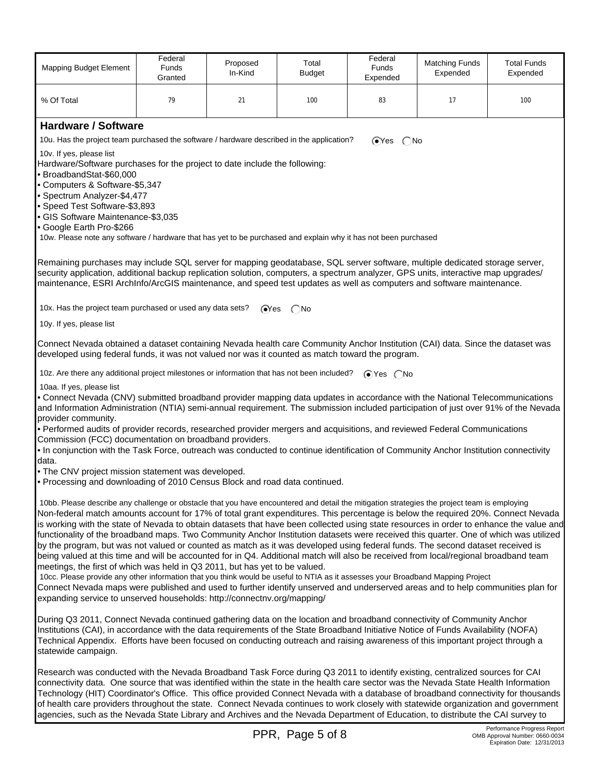| <b>Mapping Budget Element</b>                                                                                                                                                                                                                                                                                                                                                                                                                                                                                                                                                                                                                                                                                                                                                                                                                                                                                                                                                                                                                                                                                                                                                                                                                                                 | Federal<br><b>Funds</b><br>Granted                                                                                                                                                                                                                                                                                                                                                        | Proposed<br>In-Kind     | Total<br><b>Budget</b> | Federal<br><b>Funds</b><br>Expended | <b>Matching Funds</b><br>Expended | <b>Total Funds</b><br>Expended |  |  |  |
|-------------------------------------------------------------------------------------------------------------------------------------------------------------------------------------------------------------------------------------------------------------------------------------------------------------------------------------------------------------------------------------------------------------------------------------------------------------------------------------------------------------------------------------------------------------------------------------------------------------------------------------------------------------------------------------------------------------------------------------------------------------------------------------------------------------------------------------------------------------------------------------------------------------------------------------------------------------------------------------------------------------------------------------------------------------------------------------------------------------------------------------------------------------------------------------------------------------------------------------------------------------------------------|-------------------------------------------------------------------------------------------------------------------------------------------------------------------------------------------------------------------------------------------------------------------------------------------------------------------------------------------------------------------------------------------|-------------------------|------------------------|-------------------------------------|-----------------------------------|--------------------------------|--|--|--|
| % Of Total                                                                                                                                                                                                                                                                                                                                                                                                                                                                                                                                                                                                                                                                                                                                                                                                                                                                                                                                                                                                                                                                                                                                                                                                                                                                    | 79                                                                                                                                                                                                                                                                                                                                                                                        | 21                      | 100                    | 83                                  | 17                                | 100                            |  |  |  |
| <b>Hardware / Software</b>                                                                                                                                                                                                                                                                                                                                                                                                                                                                                                                                                                                                                                                                                                                                                                                                                                                                                                                                                                                                                                                                                                                                                                                                                                                    |                                                                                                                                                                                                                                                                                                                                                                                           |                         |                        |                                     |                                   |                                |  |  |  |
|                                                                                                                                                                                                                                                                                                                                                                                                                                                                                                                                                                                                                                                                                                                                                                                                                                                                                                                                                                                                                                                                                                                                                                                                                                                                               |                                                                                                                                                                                                                                                                                                                                                                                           |                         |                        | $OYes$ $ONo$                        |                                   |                                |  |  |  |
| 10v. If yes, please list                                                                                                                                                                                                                                                                                                                                                                                                                                                                                                                                                                                                                                                                                                                                                                                                                                                                                                                                                                                                                                                                                                                                                                                                                                                      | 10u. Has the project team purchased the software / hardware described in the application?                                                                                                                                                                                                                                                                                                 |                         |                        |                                     |                                   |                                |  |  |  |
| Hardware/Software purchases for the project to date include the following:<br>· BroadbandStat-\$60,000<br>• Computers & Software-\$5,347<br>· Spectrum Analyzer-\$4,477                                                                                                                                                                                                                                                                                                                                                                                                                                                                                                                                                                                                                                                                                                                                                                                                                                                                                                                                                                                                                                                                                                       |                                                                                                                                                                                                                                                                                                                                                                                           |                         |                        |                                     |                                   |                                |  |  |  |
| • Speed Test Software-\$3,893<br>· GIS Software Maintenance-\$3,035<br>· Google Earth Pro-\$266<br>10w. Please note any software / hardware that has yet to be purchased and explain why it has not been purchased                                                                                                                                                                                                                                                                                                                                                                                                                                                                                                                                                                                                                                                                                                                                                                                                                                                                                                                                                                                                                                                            |                                                                                                                                                                                                                                                                                                                                                                                           |                         |                        |                                     |                                   |                                |  |  |  |
|                                                                                                                                                                                                                                                                                                                                                                                                                                                                                                                                                                                                                                                                                                                                                                                                                                                                                                                                                                                                                                                                                                                                                                                                                                                                               |                                                                                                                                                                                                                                                                                                                                                                                           |                         |                        |                                     |                                   |                                |  |  |  |
|                                                                                                                                                                                                                                                                                                                                                                                                                                                                                                                                                                                                                                                                                                                                                                                                                                                                                                                                                                                                                                                                                                                                                                                                                                                                               | Remaining purchases may include SQL server for mapping geodatabase, SQL server software, multiple dedicated storage server,<br>security application, additional backup replication solution, computers, a spectrum analyzer, GPS units, interactive map upgrades/<br>maintenance, ESRI ArchInfo/ArcGIS maintenance, and speed test updates as well as computers and software maintenance. |                         |                        |                                     |                                   |                                |  |  |  |
| 10x. Has the project team purchased or used any data sets?                                                                                                                                                                                                                                                                                                                                                                                                                                                                                                                                                                                                                                                                                                                                                                                                                                                                                                                                                                                                                                                                                                                                                                                                                    |                                                                                                                                                                                                                                                                                                                                                                                           | $\mathsf{Y}\mathsf{es}$ | ( No                   |                                     |                                   |                                |  |  |  |
| 10y. If yes, please list                                                                                                                                                                                                                                                                                                                                                                                                                                                                                                                                                                                                                                                                                                                                                                                                                                                                                                                                                                                                                                                                                                                                                                                                                                                      |                                                                                                                                                                                                                                                                                                                                                                                           |                         |                        |                                     |                                   |                                |  |  |  |
|                                                                                                                                                                                                                                                                                                                                                                                                                                                                                                                                                                                                                                                                                                                                                                                                                                                                                                                                                                                                                                                                                                                                                                                                                                                                               | Connect Nevada obtained a dataset containing Nevada health care Community Anchor Institution (CAI) data. Since the dataset was<br>developed using federal funds, it was not valued nor was it counted as match toward the program.                                                                                                                                                        |                         |                        |                                     |                                   |                                |  |  |  |
| 10z. Are there any additional project milestones or information that has not been included?                                                                                                                                                                                                                                                                                                                                                                                                                                                                                                                                                                                                                                                                                                                                                                                                                                                                                                                                                                                                                                                                                                                                                                                   |                                                                                                                                                                                                                                                                                                                                                                                           |                         |                        | $\bigcirc$ Yes $\bigcirc$ No        |                                   |                                |  |  |  |
| 10aa. If yes, please list<br>• Connect Nevada (CNV) submitted broadband provider mapping data updates in accordance with the National Telecommunications<br>and Information Administration (NTIA) semi-annual requirement. The submission included participation of just over 91% of the Nevada                                                                                                                                                                                                                                                                                                                                                                                                                                                                                                                                                                                                                                                                                                                                                                                                                                                                                                                                                                               |                                                                                                                                                                                                                                                                                                                                                                                           |                         |                        |                                     |                                   |                                |  |  |  |
| provider community.<br>• Performed audits of provider records, researched provider mergers and acquisitions, and reviewed Federal Communications<br>Commission (FCC) documentation on broadband providers.<br>. In conjunction with the Task Force, outreach was conducted to continue identification of Community Anchor Institution connectivity                                                                                                                                                                                                                                                                                                                                                                                                                                                                                                                                                                                                                                                                                                                                                                                                                                                                                                                            |                                                                                                                                                                                                                                                                                                                                                                                           |                         |                        |                                     |                                   |                                |  |  |  |
| data.<br>. The CNV project mission statement was developed.<br>. Processing and downloading of 2010 Census Block and road data continued.                                                                                                                                                                                                                                                                                                                                                                                                                                                                                                                                                                                                                                                                                                                                                                                                                                                                                                                                                                                                                                                                                                                                     |                                                                                                                                                                                                                                                                                                                                                                                           |                         |                        |                                     |                                   |                                |  |  |  |
| 10bb. Please describe any challenge or obstacle that you have encountered and detail the mitigation strategies the project team is employing<br>Non-federal match amounts account for 17% of total grant expenditures. This percentage is below the required 20%. Connect Nevada<br>is working with the state of Nevada to obtain datasets that have been collected using state resources in order to enhance the value and<br>functionality of the broadband maps. Two Community Anchor Institution datasets were received this quarter. One of which was utilized<br>by the program, but was not valued or counted as match as it was developed using federal funds. The second dataset received is<br>being valued at this time and will be accounted for in Q4. Additional match will also be received from local/regional broadband team<br>meetings, the first of which was held in Q3 2011, but has yet to be valued.<br>10cc. Please provide any other information that you think would be useful to NTIA as it assesses your Broadband Mapping Project<br>Connect Nevada maps were published and used to further identify unserved and underserved areas and to help communities plan for<br>expanding service to unserved households: http://connectnv.org/mapping/ |                                                                                                                                                                                                                                                                                                                                                                                           |                         |                        |                                     |                                   |                                |  |  |  |
| During Q3 2011, Connect Nevada continued gathering data on the location and broadband connectivity of Community Anchor<br>Institutions (CAI), in accordance with the data requirements of the State Broadband Initiative Notice of Funds Availability (NOFA)<br>Technical Appendix. Efforts have been focused on conducting outreach and raising awareness of this important project through a<br>statewide campaign.                                                                                                                                                                                                                                                                                                                                                                                                                                                                                                                                                                                                                                                                                                                                                                                                                                                         |                                                                                                                                                                                                                                                                                                                                                                                           |                         |                        |                                     |                                   |                                |  |  |  |
| Research was conducted with the Nevada Broadband Task Force during Q3 2011 to identify existing, centralized sources for CAI<br>connectivity data. One source that was identified within the state in the health care sector was the Nevada State Health Information<br>Technology (HIT) Coordinator's Office. This office provided Connect Nevada with a database of broadband connectivity for thousands<br>of health care providers throughout the state. Connect Nevada continues to work closely with statewide organization and government<br>agencies, such as the Nevada State Library and Archives and the Nevada Department of Education, to distribute the CAI survey to                                                                                                                                                                                                                                                                                                                                                                                                                                                                                                                                                                                           |                                                                                                                                                                                                                                                                                                                                                                                           |                         |                        |                                     |                                   |                                |  |  |  |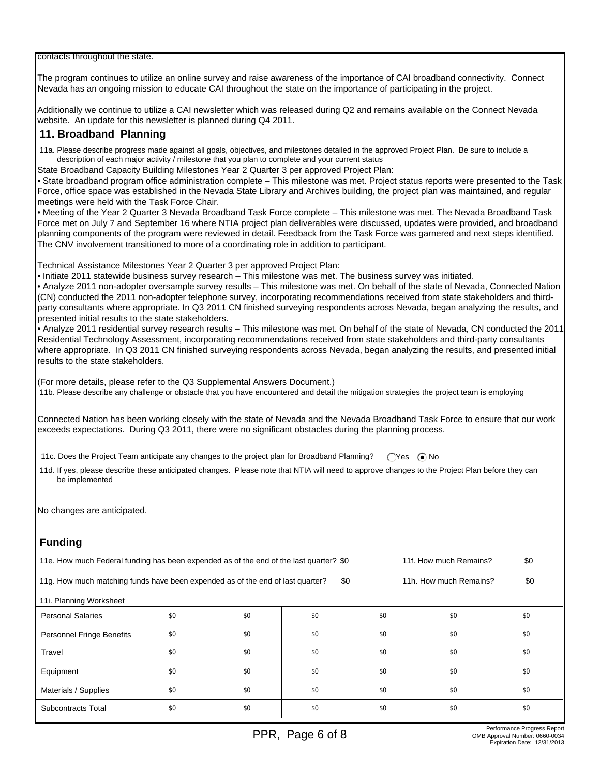contacts throughout the state.

The program continues to utilize an online survey and raise awareness of the importance of CAI broadband connectivity. Connect Nevada has an ongoing mission to educate CAI throughout the state on the importance of participating in the project.

Additionally we continue to utilize a CAI newsletter which was released during Q2 and remains available on the Connect Nevada website. An update for this newsletter is planned during Q4 2011.

## **11. Broadband Planning**

 11a. Please describe progress made against all goals, objectives, and milestones detailed in the approved Project Plan. Be sure to include a description of each major activity / milestone that you plan to complete and your current status

State Broadband Capacity Building Milestones Year 2 Quarter 3 per approved Project Plan:

• State broadband program office administration complete – This milestone was met. Project status reports were presented to the Task Force, office space was established in the Nevada State Library and Archives building, the project plan was maintained, and regular meetings were held with the Task Force Chair.

• Meeting of the Year 2 Quarter 3 Nevada Broadband Task Force complete – This milestone was met. The Nevada Broadband Task Force met on July 7 and September 16 where NTIA project plan deliverables were discussed, updates were provided, and broadband planning components of the program were reviewed in detail. Feedback from the Task Force was garnered and next steps identified. The CNV involvement transitioned to more of a coordinating role in addition to participant.

Technical Assistance Milestones Year 2 Quarter 3 per approved Project Plan:

• Initiate 2011 statewide business survey research – This milestone was met. The business survey was initiated.

• Analyze 2011 non-adopter oversample survey results – This milestone was met. On behalf of the state of Nevada, Connected Nation (CN) conducted the 2011 non-adopter telephone survey, incorporating recommendations received from state stakeholders and thirdparty consultants where appropriate. In Q3 2011 CN finished surveying respondents across Nevada, began analyzing the results, and presented initial results to the state stakeholders.

• Analyze 2011 residential survey research results – This milestone was met. On behalf of the state of Nevada, CN conducted the 2011 Residential Technology Assessment, incorporating recommendations received from state stakeholders and third-party consultants where appropriate. In Q3 2011 CN finished surveying respondents across Nevada, began analyzing the results, and presented initial results to the state stakeholders.

(For more details, please refer to the Q3 Supplemental Answers Document.)

11b. Please describe any challenge or obstacle that you have encountered and detail the mitigation strategies the project team is employing

Connected Nation has been working closely with the state of Nevada and the Nevada Broadband Task Force to ensure that our work exceeds expectations. During Q3 2011, there were no significant obstacles during the planning process.

11c. Does the Project Team anticipate any changes to the project plan for Broadband Planning?  $\bigcirc$ Yes  $\bigcirc$ No

 11d. If yes, please describe these anticipated changes. Please note that NTIA will need to approve changes to the Project Plan before they can be implemented

No changes are anticipated.

## **Funding**

| 11e. How much Federal funding has been expended as of the end of the last quarter? \$0<br>11f. How much Remains?       |     |     |     |     |     |     |  |  |
|------------------------------------------------------------------------------------------------------------------------|-----|-----|-----|-----|-----|-----|--|--|
| \$0<br>11g. How much matching funds have been expended as of the end of last quarter?<br>\$0<br>11h. How much Remains? |     |     |     |     |     |     |  |  |
| 11i. Planning Worksheet                                                                                                |     |     |     |     |     |     |  |  |
| <b>Personal Salaries</b>                                                                                               | \$0 | \$0 | \$0 | \$0 | \$0 | \$0 |  |  |
| Personnel Fringe Benefits                                                                                              | \$0 | \$0 | \$0 | \$0 | \$0 | \$0 |  |  |
| Travel                                                                                                                 | \$0 | \$0 | \$0 | \$0 | \$0 | \$0 |  |  |
| Equipment                                                                                                              | \$0 | \$0 | \$0 | \$0 | \$0 | \$0 |  |  |
| Materials / Supplies                                                                                                   | \$0 | \$0 | \$0 | \$0 | \$0 | \$0 |  |  |
| Subcontracts Total                                                                                                     | \$0 | \$0 | \$0 | \$0 | \$0 | \$0 |  |  |
|                                                                                                                        |     |     |     |     |     |     |  |  |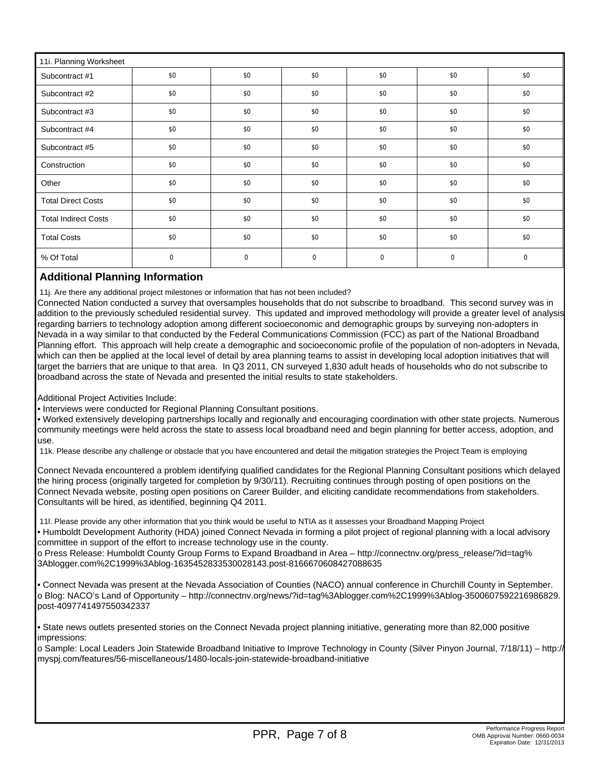| 11i. Planning Worksheet     |     |             |              |             |     |     |  |
|-----------------------------|-----|-------------|--------------|-------------|-----|-----|--|
| Subcontract #1              | \$0 | \$0         | \$0          | \$0         | \$0 | \$0 |  |
| Subcontract #2              | \$0 | \$0         | \$0          | \$0         | \$0 | \$0 |  |
| Subcontract #3              | \$0 | \$0         | \$0          | \$0         | \$0 | \$0 |  |
| Subcontract #4              | \$0 | \$0         | \$0          | \$0         | \$0 | \$0 |  |
| Subcontract #5              | \$0 | \$0         | \$0          | \$0         | \$0 | \$0 |  |
| Construction                | \$0 | \$0         | \$0          | \$0         | \$0 | \$0 |  |
| Other                       | \$0 | \$0         | \$0          | \$0         | \$0 | \$0 |  |
| <b>Total Direct Costs</b>   | \$0 | \$0         | \$0          | \$0         | \$0 | \$0 |  |
| <b>Total Indirect Costs</b> | \$0 | \$0         | \$0          | \$0         | \$0 | \$0 |  |
| <b>Total Costs</b>          | \$0 | \$0         | \$0          | \$0         | \$0 | \$0 |  |
| % Of Total                  | 0   | $\mathbf 0$ | $\mathbf{0}$ | $\mathbf 0$ | 0   | 0   |  |

## **Additional Planning Information**

11j. Are there any additional project milestones or information that has not been included?

Connected Nation conducted a survey that oversamples households that do not subscribe to broadband. This second survey was in addition to the previously scheduled residential survey. This updated and improved methodology will provide a greater level of analysis regarding barriers to technology adoption among different socioeconomic and demographic groups by surveying non-adopters in Nevada in a way similar to that conducted by the Federal Communications Commission (FCC) as part of the National Broadband Planning effort. This approach will help create a demographic and socioeconomic profile of the population of non-adopters in Nevada, which can then be applied at the local level of detail by area planning teams to assist in developing local adoption initiatives that will target the barriers that are unique to that area. In Q3 2011, CN surveyed 1,830 adult heads of households who do not subscribe to broadband across the state of Nevada and presented the initial results to state stakeholders.

Additional Project Activities Include:

• Interviews were conducted for Regional Planning Consultant positions.

• Worked extensively developing partnerships locally and regionally and encouraging coordination with other state projects. Numerous community meetings were held across the state to assess local broadband need and begin planning for better access, adoption, and use.

11k. Please describe any challenge or obstacle that you have encountered and detail the mitigation strategies the Project Team is employing

Connect Nevada encountered a problem identifying qualified candidates for the Regional Planning Consultant positions which delayed the hiring process (originally targeted for completion by 9/30/11). Recruiting continues through posting of open positions on the Connect Nevada website, posting open positions on Career Builder, and eliciting candidate recommendations from stakeholders. Consultants will be hired, as identified, beginning Q4 2011.

 11l. Please provide any other information that you think would be useful to NTIA as it assesses your Broadband Mapping Project • Humboldt Development Authority (HDA) joined Connect Nevada in forming a pilot project of regional planning with a local advisory

committee in support of the effort to increase technology use in the county.

o Press Release: Humboldt County Group Forms to Expand Broadband in Area – http://connectnv.org/press\_release/?id=tag% 3Ablogger.com%2C1999%3Ablog-1635452833530028143.post-8166670608427088635

• Connect Nevada was present at the Nevada Association of Counties (NACO) annual conference in Churchill County in September. o Blog: NACO's Land of Opportunity – http://connectnv.org/news/?id=tag%3Ablogger.com%2C1999%3Ablog-3500607592216986829. post-4097741497550342337

• State news outlets presented stories on the Connect Nevada project planning initiative, generating more than 82,000 positive impressions:

o Sample: Local Leaders Join Statewide Broadband Initiative to Improve Technology in County (Silver Pinyon Journal, 7/18/11) – http:// myspj.com/features/56-miscellaneous/1480-locals-join-statewide-broadband-initiative